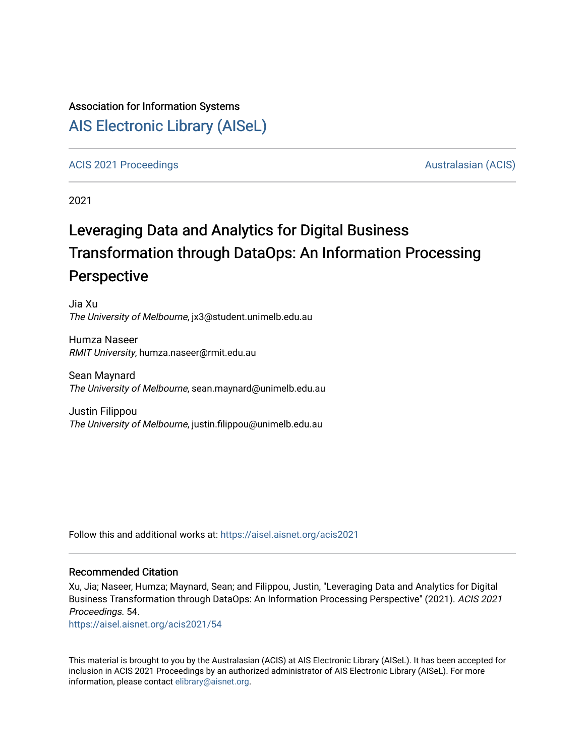#### Association for Information Systems

## [AIS Electronic Library \(AISeL\)](https://aisel.aisnet.org/)

#### [ACIS 2021 Proceedings](https://aisel.aisnet.org/acis2021) [Australasian \(ACIS\)](https://aisel.aisnet.org/acis) Australasian (ACIS)

2021

# Leveraging Data and Analytics for Digital Business Transformation through DataOps: An Information Processing Perspective

Jia Xu The University of Melbourne, jx3@student.unimelb.edu.au

Humza Naseer RMIT University, humza.naseer@rmit.edu.au

Sean Maynard The University of Melbourne, sean.maynard@unimelb.edu.au

Justin Filippou The University of Melbourne, justin.filippou@unimelb.edu.au

Follow this and additional works at: [https://aisel.aisnet.org/acis2021](https://aisel.aisnet.org/acis2021?utm_source=aisel.aisnet.org%2Facis2021%2F54&utm_medium=PDF&utm_campaign=PDFCoverPages) 

#### Recommended Citation

Xu, Jia; Naseer, Humza; Maynard, Sean; and Filippou, Justin, "Leveraging Data and Analytics for Digital Business Transformation through DataOps: An Information Processing Perspective" (2021). ACIS 2021 Proceedings. 54.

[https://aisel.aisnet.org/acis2021/54](https://aisel.aisnet.org/acis2021/54?utm_source=aisel.aisnet.org%2Facis2021%2F54&utm_medium=PDF&utm_campaign=PDFCoverPages)

This material is brought to you by the Australasian (ACIS) at AIS Electronic Library (AISeL). It has been accepted for inclusion in ACIS 2021 Proceedings by an authorized administrator of AIS Electronic Library (AISeL). For more information, please contact [elibrary@aisnet.org.](mailto:elibrary@aisnet.org%3E)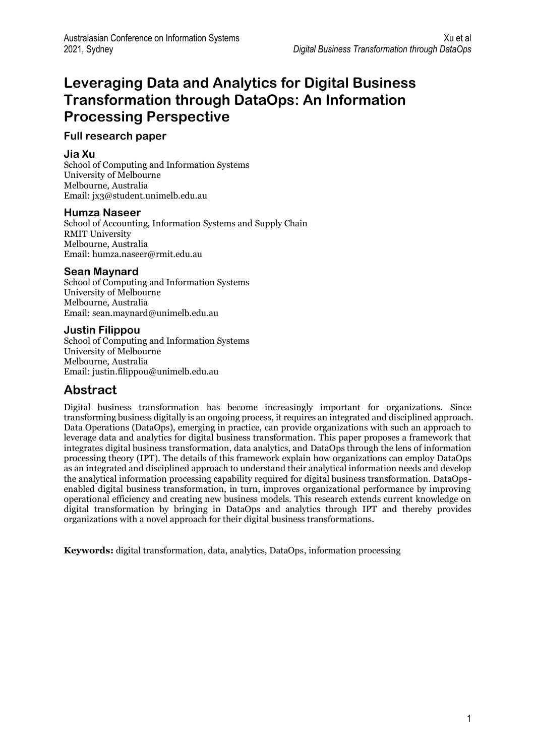## **Leveraging Data and Analytics for Digital Business Transformation through DataOps: An Information Processing Perspective**

### **Full research paper**

#### **Jia Xu**

School of Computing and Information Systems University of Melbourne Melbourne, Australia Email[: jx3@student.unimelb.edu.au](mailto:jx3@student.unimelb.edu.au)

#### **Humza Naseer**

School of Accounting, Information Systems and Supply Chain RMIT University Melbourne, Australia Email: humza.naseer@rmit.edu.au

### **Sean Maynard**

School of Computing and Information Systems University of Melbourne Melbourne, Australia Email[: sean.maynard@unimelb.edu.au](mailto:sean.maynard@unimelb.edu.au)

#### **Justin Filippou**

School of Computing and Information Systems University of Melbourne Melbourne, Australia Email: justin.filippou@unimelb.edu.au

## **Abstract**

Digital business transformation has become increasingly important for organizations. Since transforming business digitally is an ongoing process, it requires an integrated and disciplined approach. Data Operations (DataOps), emerging in practice, can provide organizations with such an approach to leverage data and analytics for digital business transformation. This paper proposes a framework that integrates digital business transformation, data analytics, and DataOps through the lens of information processing theory (IPT). The details of this framework explain how organizations can employ DataOps as an integrated and disciplined approach to understand their analytical information needs and develop the analytical information processing capability required for digital business transformation. DataOpsenabled digital business transformation, in turn, improves organizational performance by improving operational efficiency and creating new business models. This research extends current knowledge on digital transformation by bringing in DataOps and analytics through IPT and thereby provides organizations with a novel approach for their digital business transformations.

**Keywords:** digital transformation, data, analytics, DataOps, information processing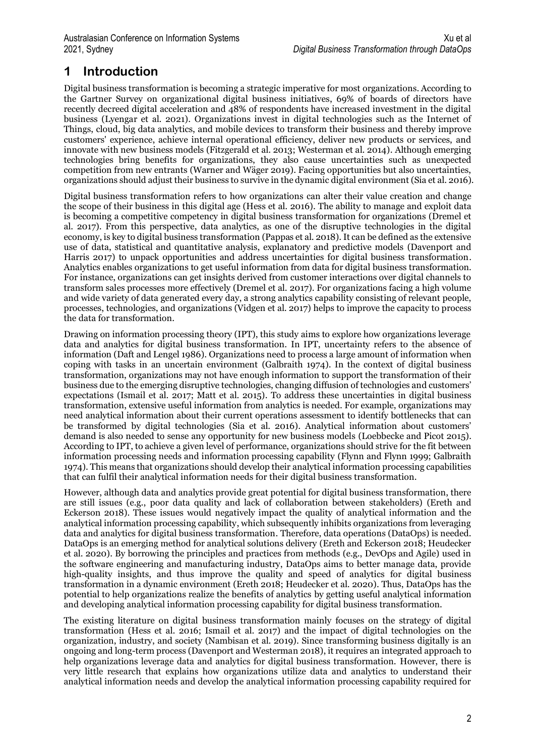## **1 Introduction**

Digital business transformation is becoming a strategic imperative for most organizations. According to the Gartner Survey on organizational digital business initiatives, 69% of boards of directors have recently decreed digital acceleration and 48% of respondents have increased investment in the digital business (Lyengar et al. 2021). Organizations invest in digital technologies such as the Internet of Things, cloud, big data analytics, and mobile devices to transform their business and thereby improve customers' experience, achieve internal operational efficiency, deliver new products or services, and innovate with new business models (Fitzgerald et al. 2013; Westerman et al. 2014). Although emerging technologies bring benefits for organizations, they also cause uncertainties such as unexpected competition from new entrants (Warner and Wäger 2019). Facing opportunities but also uncertainties, organizations should adjust their business to survive in the dynamic digital environment (Sia et al. 2016).

Digital business transformation refers to how organizations can alter their value creation and change the scope of their business in this digital age (Hess et al. 2016). The ability to manage and exploit data is becoming a competitive competency in digital business transformation for organizations (Dremel et al. 2017). From this perspective, data analytics, as one of the disruptive technologies in the digital economy, is key to digital business transformation (Pappas et al. 2018). It can be defined as the extensive use of data, statistical and quantitative analysis, explanatory and predictive models (Davenport and Harris 2017) to unpack opportunities and address uncertainties for digital business transformation. Analytics enables organizations to get useful information from data for digital business transformation. For instance, organizations can get insights derived from customer interactions over digital channels to transform sales processes more effectively (Dremel et al. 2017). For organizations facing a high volume and wide variety of data generated every day, a strong analytics capability consisting of relevant people, processes, technologies, and organizations (Vidgen et al. 2017) helps to improve the capacity to process the data for transformation.

Drawing on information processing theory (IPT), this study aims to explore how organizations leverage data and analytics for digital business transformation. In IPT, uncertainty refers to the absence of information (Daft and Lengel 1986). Organizations need to process a large amount of information when coping with tasks in an uncertain environment (Galbraith 1974). In the context of digital business transformation, organizations may not have enough information to support the transformation of their business due to the emerging disruptive technologies, changing diffusion of technologies and customers' expectations (Ismail et al. 2017; Matt et al. 2015). To address these uncertainties in digital business transformation, extensive useful information from analytics is needed. For example, organizations may need analytical information about their current operations assessment to identify bottlenecks that can be transformed by digital technologies (Sia et al. 2016). Analytical information about customers' demand is also needed to sense any opportunity for new business models (Loebbecke and Picot 2015). According to IPT, to achieve a given level of performance, organizations should strive for the fit between information processing needs and information processing capability (Flynn and Flynn 1999; Galbraith 1974). This means that organizations should develop their analytical information processing capabilities that can fulfil their analytical information needs for their digital business transformation.

However, although data and analytics provide great potential for digital business transformation, there are still issues (e.g., poor data quality and lack of collaboration between stakeholders) (Ereth and Eckerson 2018). These issues would negatively impact the quality of analytical information and the analytical information processing capability, which subsequently inhibits organizations from leveraging data and analytics for digital business transformation. Therefore, data operations (DataOps) is needed. DataOps is an emerging method for analytical solutions delivery (Ereth and Eckerson 2018; Heudecker et al. 2020). By borrowing the principles and practices from methods (e.g., DevOps and Agile) used in the software engineering and manufacturing industry, DataOps aims to better manage data, provide high-quality insights, and thus improve the quality and speed of analytics for digital business transformation in a dynamic environment (Ereth 2018; Heudecker et al. 2020). Thus, DataOps has the potential to help organizations realize the benefits of analytics by getting useful analytical information and developing analytical information processing capability for digital business transformation.

The existing literature on digital business transformation mainly focuses on the strategy of digital transformation (Hess et al. 2016; Ismail et al. 2017) and the impact of digital technologies on the organization, industry, and society (Nambisan et al. 2019). Since transforming business digitally is an ongoing and long-term process (Davenport and Westerman 2018), it requires an integrated approach to help organizations leverage data and analytics for digital business transformation. However, there is very little research that explains how organizations utilize data and analytics to understand their analytical information needs and develop the analytical information processing capability required for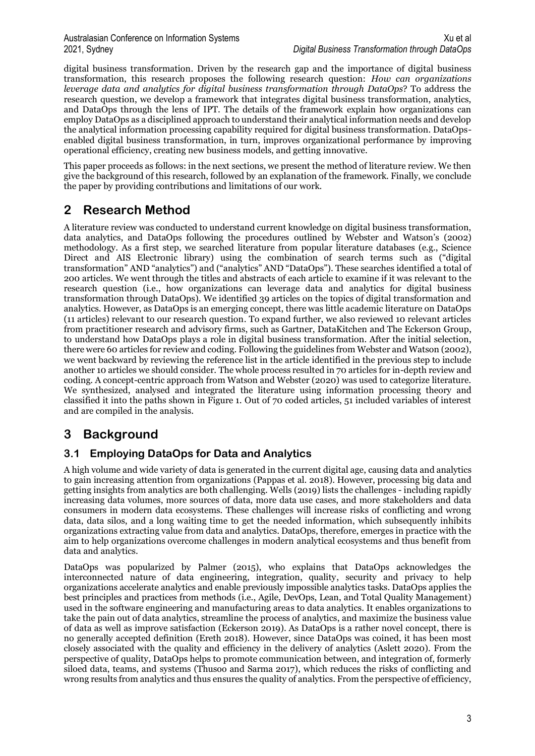digital business transformation. Driven by the research gap and the importance of digital business transformation, this research proposes the following research question: *How can organizations leverage data and analytics for digital business transformation through DataOps*? To address the research question, we develop a framework that integrates digital business transformation, analytics, and DataOps through the lens of IPT. The details of the framework explain how organizations can employ DataOps as a disciplined approach to understand their analytical information needs and develop the analytical information processing capability required for digital business transformation. DataOpsenabled digital business transformation, in turn, improves organizational performance by improving operational efficiency, creating new business models, and getting innovative.

This paper proceeds as follows: in the next sections, we present the method of literature review. We then give the background of this research, followed by an explanation of the framework. Finally, we conclude the paper by providing contributions and limitations of our work.

## **2 Research Method**

A literature review was conducted to understand current knowledge on digital business transformation, data analytics, and DataOps following the procedures outlined by Webster and Watson's (2002) methodology. As a first step, we searched literature from popular literature databases (e.g., Science Direct and AIS Electronic library) using the combination of search terms such as ("digital transformation" AND "analytics") and ("analytics" AND "DataOps"). These searches identified a total of 200 articles. We went through the titles and abstracts of each article to examine if it was relevant to the research question (i.e., how organizations can leverage data and analytics for digital business transformation through DataOps). We identified 39 articles on the topics of digital transformation and analytics. However, as DataOps is an emerging concept, there was little academic literature on DataOps (11 articles) relevant to our research question. To expand further, we also reviewed 10 relevant articles from practitioner research and advisory firms, such as Gartner, DataKitchen and The Eckerson Group, to understand how DataOps plays a role in digital business transformation. After the initial selection, there were 60 articles for review and coding. Following the guidelines from Webster and Watson (2002), we went backward by reviewing the reference list in the article identified in the previous step to include another 10 articles we should consider. The whole process resulted in 70 articles for in-depth review and coding. A concept-centric approach from Watson and Webster (2020) was used to categorize literature. We synthesized, analysed and integrated the literature using information processing theory and classified it into the paths shown in Figure 1. Out of 70 coded articles, 51 included variables of interest and are compiled in the analysis.

## **3 Background**

### **3.1 Employing DataOps for Data and Analytics**

A high volume and wide variety of data is generated in the current digital age, causing data and analytics to gain increasing attention from organizations (Pappas et al. 2018). However, processing big data and getting insights from analytics are both challenging. Wells (2019) lists the challenges - including rapidly increasing data volumes, more sources of data, more data use cases, and more stakeholders and data consumers in modern data ecosystems. These challenges will increase risks of conflicting and wrong data, data silos, and a long waiting time to get the needed information, which subsequently inhibits organizations extracting value from data and analytics. DataOps, therefore, emerges in practice with the aim to help organizations overcome challenges in modern analytical ecosystems and thus benefit from data and analytics.

DataOps was popularized by Palmer (2015), who explains that DataOps acknowledges the interconnected nature of data engineering, integration, quality, security and privacy to help organizations accelerate analytics and enable previously impossible analytics tasks. DataOps applies the best principles and practices from methods (i.e., Agile, DevOps, Lean, and Total Quality Management) used in the software engineering and manufacturing areas to data analytics. It enables organizations to take the pain out of data analytics, streamline the process of analytics, and maximize the business value of data as well as improve satisfaction (Eckerson 2019). As DataOps is a rather novel concept, there is no generally accepted definition (Ereth 2018). However, since DataOps was coined, it has been most closely associated with the quality and efficiency in the delivery of analytics (Aslett 2020). From the perspective of quality, DataOps helps to promote communication between, and integration of, formerly siloed data, teams, and systems (Thusoo and Sarma 2017), which reduces the risks of conflicting and wrong results from analytics and thus ensures the quality of analytics. From the perspective of efficiency,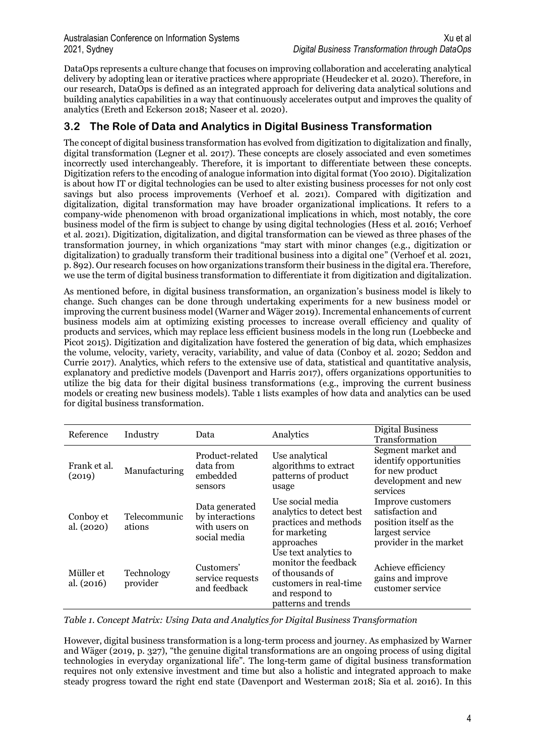DataOps represents a culture change that focuses on improving collaboration and accelerating analytical delivery by adopting lean or iterative practices where appropriate (Heudecker et al. 2020). Therefore, in our research, DataOps is defined as an integrated approach for delivering data analytical solutions and building analytics capabilities in a way that continuously accelerates output and improves the quality of analytics (Ereth and Eckerson 2018; Naseer et al. 2020).

### **3.2 The Role of Data and Analytics in Digital Business Transformation**

The concept of digital business transformation has evolved from digitization to digitalization and finally, digital transformation (Legner et al. 2017). These concepts are closely associated and even sometimes incorrectly used interchangeably. Therefore, it is important to differentiate between these concepts. Digitization refers to the encoding of analogue information into digital format (Yoo 2010). Digitalization is about how IT or digital technologies can be used to alter existing business processes for not only cost savings but also process improvements (Verhoef et al. 2021). Compared with digitization and digitalization, digital transformation may have broader organizational implications. It refers to a company-wide phenomenon with broad organizational implications in which, most notably, the core business model of the firm is subject to change by using digital technologies (Hess et al. 2016; Verhoef et al. 2021). Digitization, digitalization, and digital transformation can be viewed as three phases of the transformation journey, in which organizations "may start with minor changes (e.g., digitization or digitalization) to gradually transform their traditional business into a digital one" (Verhoef et al. 2021, p. 892).Our research focuses on how organizations transform their business in the digital era. Therefore, we use the term of digital business transformation to differentiate it from digitization and digitalization.

As mentioned before, in digital business transformation, an organization's business model is likely to change. Such changes can be done through undertaking experiments for a new business model or improving the current business model (Warner and Wäger 2019). Incremental enhancements of current business models aim at optimizing existing processes to increase overall efficiency and quality of products and services, which may replace less efficient business models in the long run (Loebbecke and Picot 2015). Digitization and digitalization have fostered the generation of big data, which emphasizes the volume, velocity, variety, veracity, variability, and value of data (Conboy et al. 2020; Seddon and Currie 2017). Analytics, which refers to the extensive use of data, statistical and quantitative analysis, explanatory and predictive models (Davenport and Harris 2017), offers organizations opportunities to utilize the big data for their digital business transformations (e.g., improving the current business models or creating new business models). Table 1 lists examples of how data and analytics can be used for digital business transformation.

| Reference               | Industry               | Data                                                               | Analytics                                                                                                                           | <b>Digital Business</b><br>Transformation                                                                    |
|-------------------------|------------------------|--------------------------------------------------------------------|-------------------------------------------------------------------------------------------------------------------------------------|--------------------------------------------------------------------------------------------------------------|
| Frank et al.<br>(2019)  | Manufacturing          | Product-related<br>data from<br>embedded<br>sensors                | Use analytical<br>algorithms to extract<br>patterns of product<br>usage                                                             | Segment market and<br>identify opportunities<br>for new product<br>development and new<br>services           |
| Conboy et<br>al. (2020) | Telecommunic<br>ations | Data generated<br>by interactions<br>with users on<br>social media | Use social media<br>analytics to detect best<br>practices and methods<br>for marketing<br>approaches                                | Improve customers<br>satisfaction and<br>position itself as the<br>largest service<br>provider in the market |
| Müller et<br>al. (2016) | Technology<br>provider | Customers'<br>service requests<br>and feedback                     | Use text analytics to<br>monitor the feedback<br>of thousands of<br>customers in real-time<br>and respond to<br>patterns and trends | Achieve efficiency<br>gains and improve<br>customer service                                                  |

*Table 1. Concept Matrix: Using Data and Analytics for Digital Business Transformation*

However, digital business transformation is a long-term process and journey. As emphasized by Warner and Wäger (2019, p. 327), "the genuine digital transformations are an ongoing process of using digital technologies in everyday organizational life". The long-term game of digital business transformation requires not only extensive investment and time but also a holistic and integrated approach to make steady progress toward the right end state (Davenport and Westerman 2018; Sia et al. 2016). In this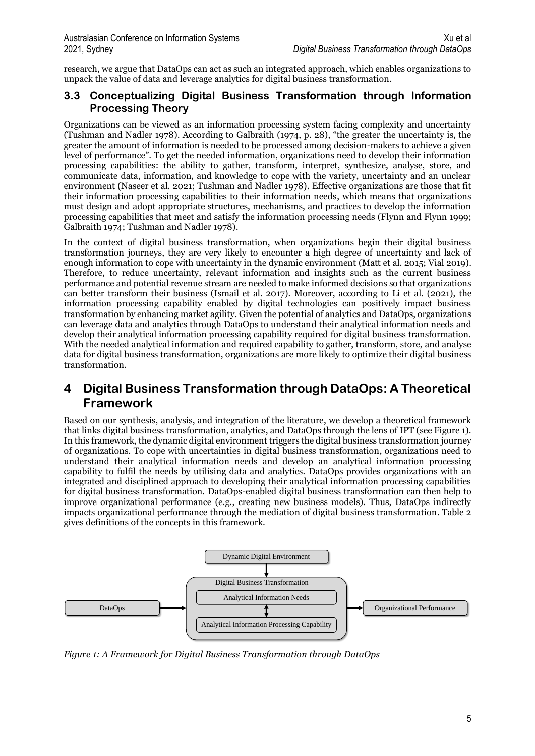research, we argue that DataOps can act as such an integrated approach, which enables organizations to unpack the value of data and leverage analytics for digital business transformation.

### **3.3 Conceptualizing Digital Business Transformation through Information Processing Theory**

Organizations can be viewed as an information processing system facing complexity and uncertainty (Tushman and Nadler 1978). According to Galbraith (1974, p. 28), "the greater the uncertainty is, the greater the amount of information is needed to be processed among decision-makers to achieve a given level of performance". To get the needed information, organizations need to develop their information processing capabilities: the ability to gather, transform, interpret, synthesize, analyse, store, and communicate data, information, and knowledge to cope with the variety, uncertainty and an unclear environment (Naseer et al. 2021; Tushman and Nadler 1978). Effective organizations are those that fit their information processing capabilities to their information needs, which means that organizations must design and adopt appropriate structures, mechanisms, and practices to develop the information processing capabilities that meet and satisfy the information processing needs (Flynn and Flynn 1999; Galbraith 1974; Tushman and Nadler 1978).

In the context of digital business transformation, when organizations begin their digital business transformation journeys, they are very likely to encounter a high degree of uncertainty and lack of enough information to cope with uncertainty in the dynamic environment (Matt et al. 2015; Vial 2019). Therefore, to reduce uncertainty, relevant information and insights such as the current business performance and potential revenue stream are needed to make informed decisions so that organizations can better transform their business (Ismail et al. 2017). Moreover, according to Li et al. (2021), the information processing capability enabled by digital technologies can positively impact business transformation by enhancing market agility. Given the potential of analytics and DataOps, organizations can leverage data and analytics through DataOps to understand their analytical information needs and develop their analytical information processing capability required for digital business transformation. With the needed analytical information and required capability to gather, transform, store, and analyse data for digital business transformation, organizations are more likely to optimize their digital business transformation.

## **4 Digital Business Transformation through DataOps: A Theoretical Framework**

Based on our synthesis, analysis, and integration of the literature, we develop a theoretical framework that links digital business transformation, analytics, and DataOps through the lens of IPT (see Figure 1). In this framework, the dynamic digital environment triggers the digital business transformation journey of organizations. To cope with uncertainties in digital business transformation, organizations need to understand their analytical information needs and develop an analytical information processing capability to fulfil the needs by utilising data and analytics. DataOps provides organizations with an integrated and disciplined approach to developing their analytical information processing capabilities for digital business transformation. DataOps-enabled digital business transformation can then help to improve organizational performance (e.g., creating new business models). Thus, DataOps indirectly impacts organizational performance through the mediation of digital business transformation. Table 2 gives definitions of the concepts in this framework.



*Figure 1: A Framework for Digital Business Transformation through DataOps*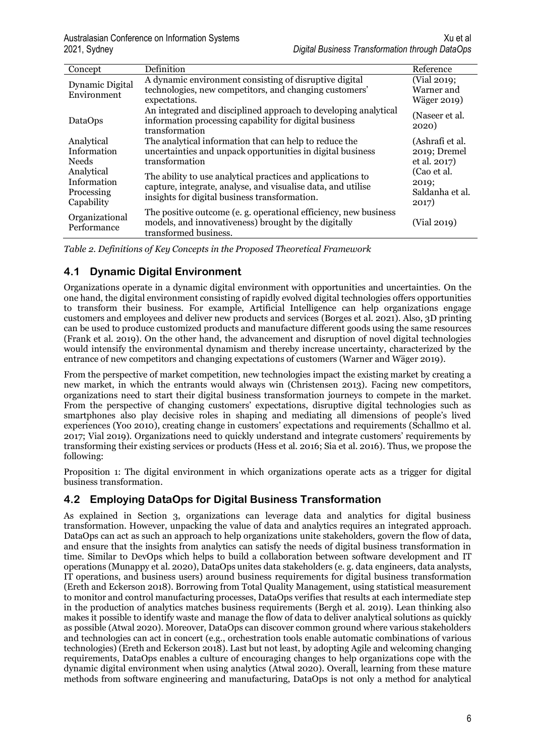| Concept                                                                              | Definition                                                                                                                                                                                                                                                                                                             | Reference                                                                                  |
|--------------------------------------------------------------------------------------|------------------------------------------------------------------------------------------------------------------------------------------------------------------------------------------------------------------------------------------------------------------------------------------------------------------------|--------------------------------------------------------------------------------------------|
| Dynamic Digital<br>Environment                                                       | A dynamic environment consisting of disruptive digital<br>technologies, new competitors, and changing customers'<br>expectations.                                                                                                                                                                                      | (Vial 2019;<br>Warner and<br>Wäger 2019)                                                   |
| DataOps                                                                              | An integrated and disciplined approach to developing analytical<br>information processing capability for digital business<br>transformation                                                                                                                                                                            | (Naseer et al.<br>2020)                                                                    |
| Analytical<br>Information<br><b>Needs</b><br>Analytical<br>Information<br>Processing | The analytical information that can help to reduce the<br>uncertainties and unpack opportunities in digital business<br>transformation<br>The ability to use analytical practices and applications to<br>capture, integrate, analyse, and visualise data, and utilise<br>insights for digital business transformation. | (Ashrafi et al.<br>2019; Dremel<br>et al. 2017)<br>(Cao et al.<br>2019;<br>Saldanha et al. |
| Capability<br>Organizational<br>Performance                                          | The positive outcome (e.g. operational efficiency, new business<br>models, and innovativeness) brought by the digitally<br>transformed business.                                                                                                                                                                       | 2017)<br>(Vial 2019)                                                                       |

*Table 2. Definitions of Key Concepts in the Proposed Theoretical Framework*

### **4.1 Dynamic Digital Environment**

Organizations operate in a dynamic digital environment with opportunities and uncertainties. On the one hand, the digital environment consisting of rapidly evolved digital technologies offers opportunities to transform their business. For example, Artificial Intelligence can help organizations engage customers and employees and deliver new products and services (Borges et al. 2021). Also, 3D printing can be used to produce customized products and manufacture different goods using the same resources (Frank et al. 2019). On the other hand, the advancement and disruption of novel digital technologies would intensify the environmental dynamism and thereby increase uncertainty, characterized by the entrance of new competitors and changing expectations of customers (Warner and Wäger 2019).

From the perspective of market competition, new technologies impact the existing market by creating a new market, in which the entrants would always win (Christensen 2013). Facing new competitors, organizations need to start their digital business transformation journeys to compete in the market. From the perspective of changing customers' expectations, disruptive digital technologies such as smartphones also play decisive roles in shaping and mediating all dimensions of people's lived experiences (Yoo 2010), creating change in customers' expectations and requirements (Schallmo et al. 2017; Vial 2019). Organizations need to quickly understand and integrate customers' requirements by transforming their existing services or products (Hess et al. 2016; Sia et al. 2016). Thus, we propose the following:

Proposition 1: The digital environment in which organizations operate acts as a trigger for digital business transformation.

### **4.2 Employing DataOps for Digital Business Transformation**

As explained in Section 3, organizations can leverage data and analytics for digital business transformation. However, unpacking the value of data and analytics requires an integrated approach. DataOps can act as such an approach to help organizations unite stakeholders, govern the flow of data, and ensure that the insights from analytics can satisfy the needs of digital business transformation in time. Similar to DevOps which helps to build a collaboration between software development and IT operations (Munappy et al. 2020), DataOps unites data stakeholders (e. g. data engineers, data analysts, IT operations, and business users) around business requirements for digital business transformation (Ereth and Eckerson 2018). Borrowing from Total Quality Management, using statistical measurement to monitor and control manufacturing processes, DataOps verifies that results at each intermediate step in the production of analytics matches business requirements (Bergh et al. 2019). Lean thinking also makes it possible to identify waste and manage the flow of data to deliver analytical solutions as quickly as possible (Atwal 2020). Moreover, DataOps can discover common ground where various stakeholders and technologies can act in concert (e.g., orchestration tools enable automatic combinations of various technologies) (Ereth and Eckerson 2018). Last but not least, by adopting Agile and welcoming changing requirements, DataOps enables a culture of encouraging changes to help organizations cope with the dynamic digital environment when using analytics (Atwal 2020). Overall, learning from these mature methods from software engineering and manufacturing, DataOps is not only a method for analytical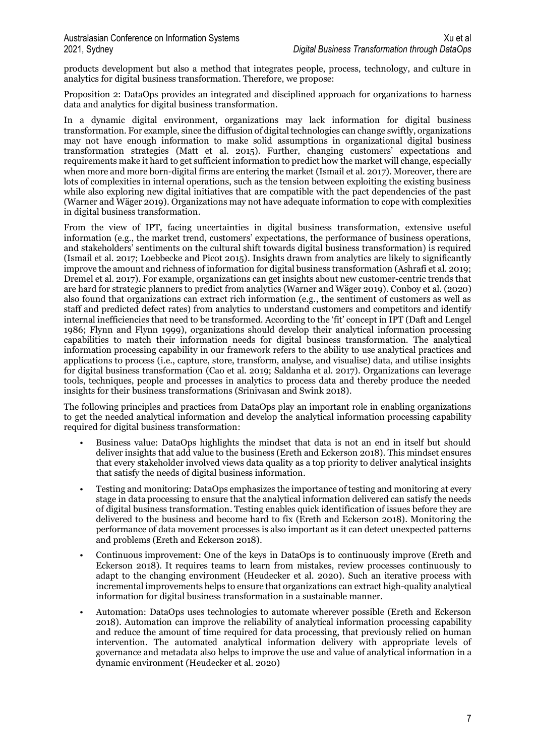products development but also a method that integrates people, process, technology, and culture in analytics for digital business transformation. Therefore, we propose:

Proposition 2: DataOps provides an integrated and disciplined approach for organizations to harness data and analytics for digital business transformation.

In a dynamic digital environment, organizations may lack information for digital business transformation. For example, since the diffusion of digital technologies can change swiftly, organizations may not have enough information to make solid assumptions in organizational digital business transformation strategies (Matt et al. 2015). Further, changing customers' expectations and requirements make it hard to get sufficient information to predict how the market will change, especially when more and more born-digital firms are entering the market (Ismail et al. 2017). Moreover, there are lots of complexities in internal operations, such as the tension between exploiting the existing business while also exploring new digital initiatives that are compatible with the pact dependencies of the past (Warner and Wäger 2019). Organizations may not have adequate information to cope with complexities in digital business transformation.

From the view of IPT, facing uncertainties in digital business transformation, extensive useful information (e.g., the market trend, customers' expectations, the performance of business operations, and stakeholders' sentiments on the cultural shift towards digital business transformation) is required (Ismail et al. 2017; Loebbecke and Picot 2015). Insights drawn from analytics are likely to significantly improve the amount and richness of information for digital business transformation (Ashrafi et al. 2019; Dremel et al. 2017). For example, organizations can get insights about new customer-centric trends that are hard for strategic planners to predict from analytics (Warner and Wäger 2019). Conboy et al. (2020) also found that organizations can extract rich information (e.g., the sentiment of customers as well as staff and predicted defect rates) from analytics to understand customers and competitors and identify internal inefficiencies that need to be transformed. According to the 'fit' concept in IPT (Daft and Lengel 1986; Flynn and Flynn 1999), organizations should develop their analytical information processing capabilities to match their information needs for digital business transformation. The analytical information processing capability in our framework refers to the ability to use analytical practices and applications to process (i.e., capture, store, transform, analyse, and visualise) data, and utilise insights for digital business transformation (Cao et al. 2019; Saldanha et al. 2017). Organizations can leverage tools, techniques, people and processes in analytics to process data and thereby produce the needed insights for their business transformations (Srinivasan and Swink 2018).

The following principles and practices from DataOps play an important role in enabling organizations to get the needed analytical information and develop the analytical information processing capability required for digital business transformation:

- Business value: DataOps highlights the mindset that data is not an end in itself but should deliver insights that add value to the business (Ereth and Eckerson 2018). This mindset ensures that every stakeholder involved views data quality as a top priority to deliver analytical insights that satisfy the needs of digital business information.
- Testing and monitoring: DataOps emphasizes the importance of testing and monitoring at every stage in data processing to ensure that the analytical information delivered can satisfy the needs of digital business transformation. Testing enables quick identification of issues before they are delivered to the business and become hard to fix (Ereth and Eckerson 2018). Monitoring the performance of data movement processes is also important as it can detect unexpected patterns and problems (Ereth and Eckerson 2018).
- Continuous improvement: One of the keys in DataOps is to continuously improve (Ereth and Eckerson 2018). It requires teams to learn from mistakes, review processes continuously to adapt to the changing environment (Heudecker et al. 2020). Such an iterative process with incremental improvements helps to ensure that organizations can extract high-quality analytical information for digital business transformation in a sustainable manner.
- Automation: DataOps uses technologies to automate wherever possible (Ereth and Eckerson 2018). Automation can improve the reliability of analytical information processing capability and reduce the amount of time required for data processing, that previously relied on human intervention. The automated analytical information delivery with appropriate levels of governance and metadata also helps to improve the use and value of analytical information in a dynamic environment (Heudecker et al. 2020)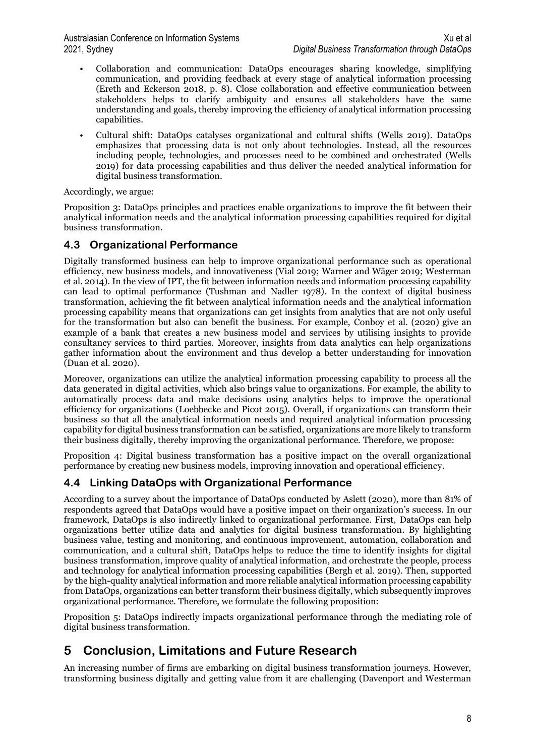- Collaboration and communication: DataOps encourages sharing knowledge, simplifying communication, and providing feedback at every stage of analytical information processing (Ereth and Eckerson 2018, p. 8). Close collaboration and effective communication between stakeholders helps to clarify ambiguity and ensures all stakeholders have the same understanding and goals, thereby improving the efficiency of analytical information processing capabilities.
- Cultural shift: DataOps catalyses organizational and cultural shifts (Wells 2019). DataOps emphasizes that processing data is not only about technologies. Instead, all the resources including people, technologies, and processes need to be combined and orchestrated (Wells 2019) for data processing capabilities and thus deliver the needed analytical information for digital business transformation.

Accordingly, we argue:

Proposition 3: DataOps principles and practices enable organizations to improve the fit between their analytical information needs and the analytical information processing capabilities required for digital business transformation.

### **4.3 Organizational Performance**

Digitally transformed business can help to improve organizational performance such as operational efficiency, new business models, and innovativeness (Vial 2019; Warner and Wäger 2019; Westerman et al. 2014). In the view of IPT, the fit between information needs and information processing capability can lead to optimal performance (Tushman and Nadler 1978). In the context of digital business transformation, achieving the fit between analytical information needs and the analytical information processing capability means that organizations can get insights from analytics that are not only useful for the transformation but also can benefit the business. For example, Conboy et al. (2020) give an example of a bank that creates a new business model and services by utilising insights to provide consultancy services to third parties. Moreover, insights from data analytics can help organizations gather information about the environment and thus develop a better understanding for innovation (Duan et al. 2020).

Moreover, organizations can utilize the analytical information processing capability to process all the data generated in digital activities, which also brings value to organizations. For example, the ability to automatically process data and make decisions using analytics helps to improve the operational efficiency for organizations (Loebbecke and Picot 2015). Overall, if organizations can transform their business so that all the analytical information needs and required analytical information processing capability for digital business transformation can be satisfied, organizations are more likely to transform their business digitally, thereby improving the organizational performance. Therefore, we propose:

Proposition 4: Digital business transformation has a positive impact on the overall organizational performance by creating new business models, improving innovation and operational efficiency.

### **4.4 Linking DataOps with Organizational Performance**

According to a survey about the importance of DataOps conducted by Aslett (2020), more than 81% of respondents agreed that DataOps would have a positive impact on their organization's success. In our framework, DataOps is also indirectly linked to organizational performance. First, DataOps can help organizations better utilize data and analytics for digital business transformation. By highlighting business value, testing and monitoring, and continuous improvement, automation, collaboration and communication, and a cultural shift, DataOps helps to reduce the time to identify insights for digital business transformation, improve quality of analytical information, and orchestrate the people, process and technology for analytical information processing capabilities (Bergh et al. 2019). Then, supported by the high-quality analytical information and more reliable analytical information processing capability from DataOps, organizations can better transform their business digitally, which subsequently improves organizational performance. Therefore, we formulate the following proposition:

Proposition 5: DataOps indirectly impacts organizational performance through the mediating role of digital business transformation.

## **5 Conclusion, Limitations and Future Research**

An increasing number of firms are embarking on digital business transformation journeys. However, transforming business digitally and getting value from it are challenging (Davenport and Westerman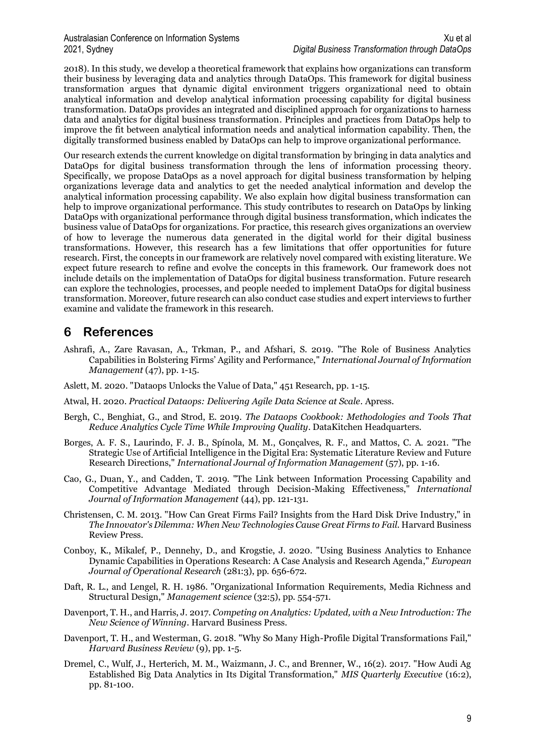2018). In this study, we develop a theoretical framework that explains how organizations can transform their business by leveraging data and analytics through DataOps. This framework for digital business transformation argues that dynamic digital environment triggers organizational need to obtain analytical information and develop analytical information processing capability for digital business transformation. DataOps provides an integrated and disciplined approach for organizations to harness data and analytics for digital business transformation. Principles and practices from DataOps help to improve the fit between analytical information needs and analytical information capability. Then, the digitally transformed business enabled by DataOps can help to improve organizational performance.

Our research extends the current knowledge on digital transformation by bringing in data analytics and DataOps for digital business transformation through the lens of information processing theory. Specifically, we propose DataOps as a novel approach for digital business transformation by helping organizations leverage data and analytics to get the needed analytical information and develop the analytical information processing capability. We also explain how digital business transformation can help to improve organizational performance. This study contributes to research on DataOps by linking DataOps with organizational performance through digital business transformation, which indicates the business value of DataOps for organizations. For practice, this research gives organizations an overview of how to leverage the numerous data generated in the digital world for their digital business transformations. However, this research has a few limitations that offer opportunities for future research. First, the concepts in our framework are relatively novel compared with existing literature. We expect future research to refine and evolve the concepts in this framework. Our framework does not include details on the implementation of DataOps for digital business transformation. Future research can explore the technologies, processes, and people needed to implement DataOps for digital business transformation. Moreover, future research can also conduct case studies and expert interviews to further examine and validate the framework in this research.

## **6 References**

- Ashrafi, A., Zare Ravasan, A., Trkman, P., and Afshari, S. 2019. "The Role of Business Analytics Capabilities in Bolstering Firms' Agility and Performance," *International Journal of Information Management* (47), pp. 1-15.
- Aslett, M. 2020. "Dataops Unlocks the Value of Data," 451 Research, pp. 1-15.
- Atwal, H. 2020. *Practical Dataops: Delivering Agile Data Science at Scale*. Apress.
- Bergh, C., Benghiat, G., and Strod, E. 2019. *The Dataops Cookbook: Methodologies and Tools That Reduce Analytics Cycle Time While Improving Quality*. DataKitchen Headquarters.
- Borges, A. F. S., Laurindo, F. J. B., Spínola, M. M., Gonçalves, R. F., and Mattos, C. A. 2021. "The Strategic Use of Artificial Intelligence in the Digital Era: Systematic Literature Review and Future Research Directions," *International Journal of Information Management* (57), pp. 1-16.
- Cao, G., Duan, Y., and Cadden, T. 2019. "The Link between Information Processing Capability and Competitive Advantage Mediated through Decision-Making Effectiveness," *International Journal of Information Management* (44), pp. 121-131.
- Christensen, C. M. 2013. "How Can Great Firms Fail? Insights from the Hard Disk Drive Industry," in *The Innovator's Dilemma: When New Technologies Cause Great Firms to Fail.* Harvard Business Review Press.
- Conboy, K., Mikalef, P., Dennehy, D., and Krogstie, J. 2020. "Using Business Analytics to Enhance Dynamic Capabilities in Operations Research: A Case Analysis and Research Agenda," *European Journal of Operational Research* (281:3), pp. 656-672.
- Daft, R. L., and Lengel, R. H. 1986. "Organizational Information Requirements, Media Richness and Structural Design," *Management science* (32:5), pp. 554-571.
- Davenport, T. H., and Harris, J. 2017. *Competing on Analytics: Updated, with a New Introduction: The New Science of Winning*. Harvard Business Press.
- Davenport, T. H., and Westerman, G. 2018. "Why So Many High-Profile Digital Transformations Fail," *Harvard Business Review* (9), pp. 1-5.
- Dremel, C., Wulf, J., Herterich, M. M., Waizmann, J. C., and Brenner, W., 16(2). 2017. "How Audi Ag Established Big Data Analytics in Its Digital Transformation," *MIS Quarterly Executive* (16:2), pp. 81-100.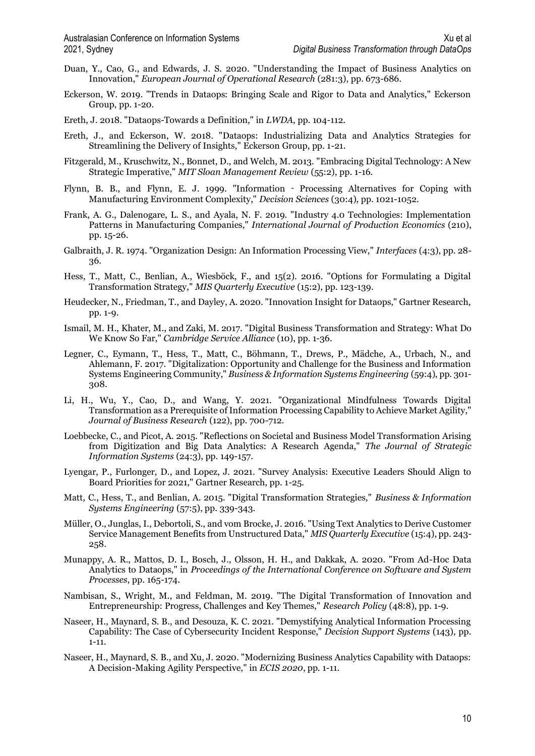- Duan, Y., Cao, G., and Edwards, J. S. 2020. "Understanding the Impact of Business Analytics on Innovation," *European Journal of Operational Research* (281:3), pp. 673-686.
- Eckerson, W. 2019. "Trends in Dataops: Bringing Scale and Rigor to Data and Analytics," Eckerson Group, pp. 1-20.
- Ereth, J. 2018. "Dataops-Towards a Definition," in *LWDA*, pp. 104-112.
- Ereth, J., and Eckerson, W. 2018. "Dataops: Industrializing Data and Analytics Strategies for Streamlining the Delivery of Insights," Eckerson Group, pp. 1-21.
- Fitzgerald, M., Kruschwitz, N., Bonnet, D., and Welch, M. 2013. "Embracing Digital Technology: A New Strategic Imperative," *MIT Sloan Management Review* (55:2), pp. 1-16.
- Flynn, B. B., and Flynn, E. J. 1999. "Information ‐ Processing Alternatives for Coping with Manufacturing Environment Complexity," *Decision Sciences* (30:4), pp. 1021-1052.
- Frank, A. G., Dalenogare, L. S., and Ayala, N. F. 2019. "Industry 4.0 Technologies: Implementation Patterns in Manufacturing Companies," *International Journal of Production Economics* (210), pp. 15-26.
- Galbraith, J. R. 1974. "Organization Design: An Information Processing View," *Interfaces* (4:3), pp. 28- 36.
- Hess, T., Matt, C., Benlian, A., Wiesböck, F., and 15(2). 2016. "Options for Formulating a Digital Transformation Strategy," *MIS Quarterly Executive* (15:2), pp. 123-139.
- Heudecker, N., Friedman, T., and Dayley, A. 2020. "Innovation Insight for Dataops," Gartner Research, pp. 1-9.
- Ismail, M. H., Khater, M., and Zaki, M. 2017. "Digital Business Transformation and Strategy: What Do We Know So Far," *Cambridge Service Alliance* (10), pp. 1-36.
- Legner, C., Eymann, T., Hess, T., Matt, C., Böhmann, T., Drews, P., Mädche, A., Urbach, N., and Ahlemann, F. 2017. "Digitalization: Opportunity and Challenge for the Business and Information Systems Engineering Community," *Business & Information Systems Engineering* (59:4), pp. 301- 308.
- Li, H., Wu, Y., Cao, D., and Wang, Y. 2021. "Organizational Mindfulness Towards Digital Transformation as a Prerequisite of Information Processing Capability to Achieve Market Agility," *Journal of Business Research* (122), pp. 700-712.
- Loebbecke, C., and Picot, A. 2015. "Reflections on Societal and Business Model Transformation Arising from Digitization and Big Data Analytics: A Research Agenda," *The Journal of Strategic Information Systems* (24:3), pp. 149-157.
- Lyengar, P., Furlonger, D., and Lopez, J. 2021. "Survey Analysis: Executive Leaders Should Align to Board Priorities for 2021," Gartner Research, pp. 1-25.
- Matt, C., Hess, T., and Benlian, A. 2015. "Digital Transformation Strategies," *Business & Information Systems Engineering* (57:5), pp. 339-343.
- Müller, O., Junglas, I., Debortoli, S., and vom Brocke, J. 2016. "Using Text Analytics to Derive Customer Service Management Benefits from Unstructured Data," *MIS Quarterly Executive* (15:4), pp. 243- 258.
- Munappy, A. R., Mattos, D. I., Bosch, J., Olsson, H. H., and Dakkak, A. 2020. "From Ad-Hoc Data Analytics to Dataops," in *Proceedings of the International Conference on Software and System Processes*, pp. 165-174.
- Nambisan, S., Wright, M., and Feldman, M. 2019. "The Digital Transformation of Innovation and Entrepreneurship: Progress, Challenges and Key Themes," *Research Policy* (48:8), pp. 1-9.
- Naseer, H., Maynard, S. B., and Desouza, K. C. 2021. "Demystifying Analytical Information Processing Capability: The Case of Cybersecurity Incident Response," *Decision Support Systems* (143), pp. 1-11.
- Naseer, H., Maynard, S. B., and Xu, J. 2020. "Modernizing Business Analytics Capability with Dataops: A Decision-Making Agility Perspective," in *ECIS 2020*, pp. 1-11.